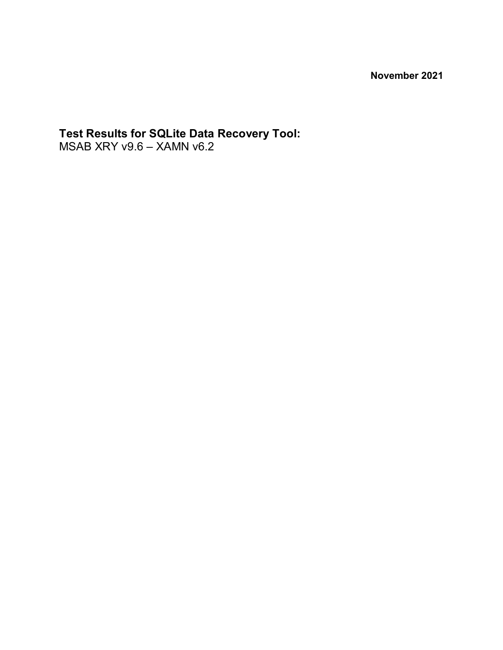**November 2021**

# **Test Results for SQLite Data Recovery Tool:**

MSAB XRY v9.6 – XAMN v6.2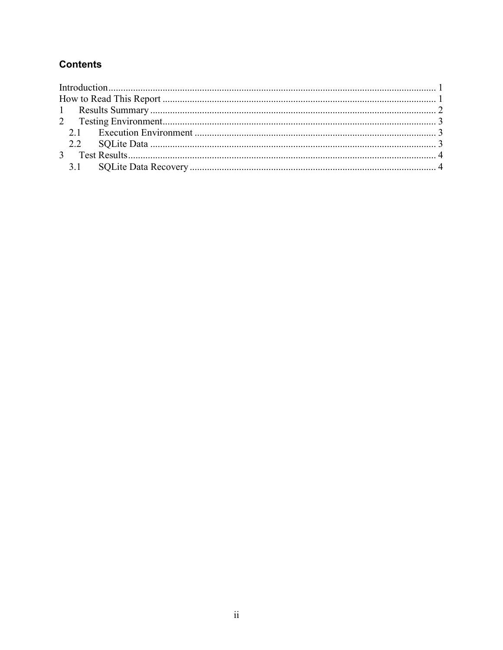### **Contents**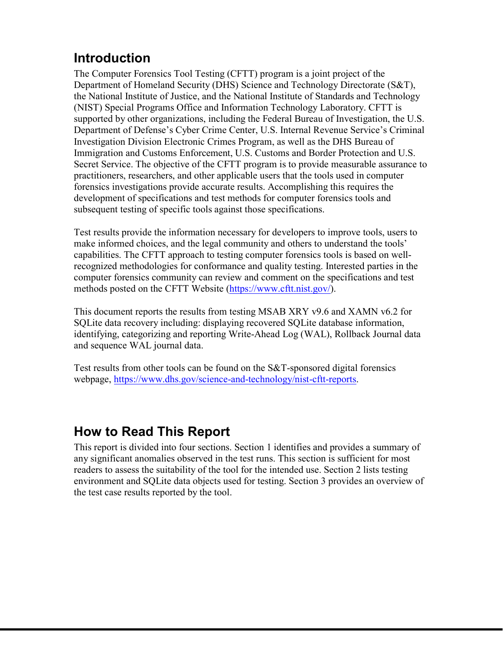# <span id="page-2-0"></span>**Introduction**

The Computer Forensics Tool Testing (CFTT) program is a joint project of the Department of Homeland Security (DHS) Science and Technology Directorate (S&T), the National Institute of Justice, and the National Institute of Standards and Technology (NIST) Special Programs Office and Information Technology Laboratory. CFTT is supported by other organizations, including the Federal Bureau of Investigation, the U.S. Department of Defense's Cyber Crime Center, U.S. Internal Revenue Service's Criminal Investigation Division Electronic Crimes Program, as well as the DHS Bureau of Immigration and Customs Enforcement, U.S. Customs and Border Protection and U.S. Secret Service. The objective of the CFTT program is to provide measurable assurance to practitioners, researchers, and other applicable users that the tools used in computer forensics investigations provide accurate results. Accomplishing this requires the development of specifications and test methods for computer forensics tools and subsequent testing of specific tools against those specifications.

Test results provide the information necessary for developers to improve tools, users to make informed choices, and the legal community and others to understand the tools' capabilities. The CFTT approach to testing computer forensics tools is based on wellrecognized methodologies for conformance and quality testing. Interested parties in the computer forensics community can review and comment on the specifications and test methods posted on the CFTT Website ([https://www.cftt.nist.gov/\)](https://www.cftt.nist.gov/).

This document reports the results from testing MSAB XRY v9.6 and XAMN v6.2 for SQLite data recovery including: displaying recovered SQLite database information, identifying, categorizing and reporting Write-Ahead Log (WAL), Rollback Journal data and sequence WAL journal data.

Test results from other tools can be found on the S&T-sponsored digital forensics webpage, [https://www.dhs.gov/science-and-technology/nist-cftt-reports.](https://www.dhs.gov/science-and-technology/nist-cftt-reports) 

## **How to Read This Report**

This report is divided into four sections. Section 1 identifies and provides a summary of any significant anomalies observed in the test runs. This section is sufficient for most readers to assess the suitability of the tool for the intended use. Section 2 lists testing environment and SQLite data objects used for testing. Section 3 provides an overview of the test case results reported by the tool.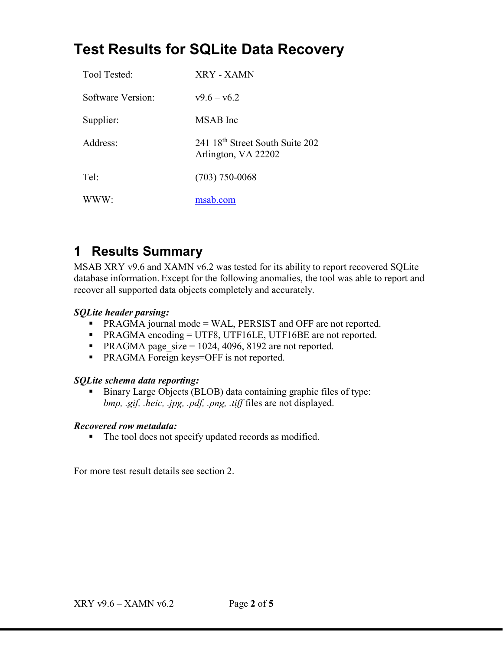# <span id="page-3-0"></span>**Test Results for SQLite Data Recovery**

| Tool Tested:      | XRY - XAMN                                                         |
|-------------------|--------------------------------------------------------------------|
| Software Version: | $v9.6 - v6.2$                                                      |
| Supplier:         | MSAB Inc                                                           |
| Address:          | 241 18 <sup>th</sup> Street South Suite 202<br>Arlington, VA 22202 |
| Tel:              | $(703)$ 750-0068                                                   |
| www·              | msab.com                                                           |

## **1 Results Summary**

MSAB XRY v9.6 and XAMN v6.2 was tested for its ability to report recovered SQLite database information. Except for the following anomalies, the tool was able to report and recover all supported data objects completely and accurately.

#### *SQLite header parsing:*

- PRAGMA journal mode = WAL, PERSIST and OFF are not reported.
- **PRAGMA** encoding = UTF8, UTF16LE, UTF16BE are not reported.
- **PRAGMA** page  $size = 1024, 4096, 8192$  are not reported.
- **PRAGMA Foreign keys=OFF is not reported.**

#### *SQLite schema data reporting:*

Binary Large Objects (BLOB) data containing graphic files of type: *bmp, .gif, .heic, .jpg, .pdf, .png, .tiff* files are not displayed.

#### *Recovered row metadata:*

The tool does not specify updated records as modified.

For more test result details see section 2.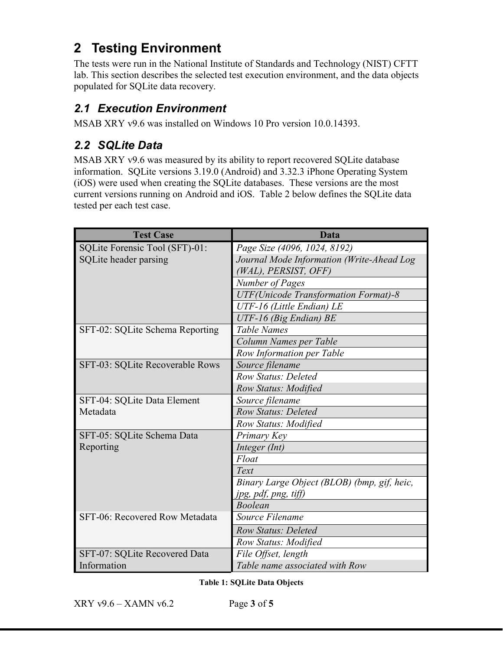# <span id="page-4-0"></span>**2 Testing Environment**

The tests were run in the National Institute of Standards and Technology (NIST) CFTT lab. This section describes the selected test execution environment, and the data objects populated for SQLite data recovery.

### *2.1 Execution Environment*

MSAB XRY v9.6 was installed on Windows 10 Pro version 10.0.14393.

### *2.2 SQLite Data*

MSAB XRY v9.6 was measured by its ability to report recovered SQLite database information. SQLite versions 3.19.0 (Android) and 3.32.3 iPhone Operating System (iOS) were used when creating the SQLite databases. These versions are the most current versions running on Android and iOS. Table 2 below defines the SQLite data tested per each test case.

| <b>Test Case</b>                | <b>Data</b>                                  |
|---------------------------------|----------------------------------------------|
| SQLite Forensic Tool (SFT)-01:  | Page Size (4096, 1024, 8192)                 |
| SQLite header parsing           | Journal Mode Information (Write-Ahead Log    |
|                                 | (WAL), PERSIST, OFF)                         |
|                                 | Number of Pages                              |
|                                 | <b>UTF</b> (Unicode Transformation Format)-8 |
|                                 | UTF-16 (Little Endian) LE                    |
|                                 | UTF-16 (Big Endian) BE                       |
| SFT-02: SQLite Schema Reporting | <b>Table Names</b>                           |
|                                 | Column Names per Table                       |
|                                 | Row Information per Table                    |
| SFT-03: SQLite Recoverable Rows | Source filename                              |
|                                 | <b>Row Status: Deleted</b>                   |
|                                 | Row Status: Modified                         |
| SFT-04: SQLite Data Element     | Source filename                              |
| Metadata                        | <b>Row Status: Deleted</b>                   |
|                                 | Row Status: Modified                         |
| SFT-05: SQLite Schema Data      | Primary Key                                  |
| Reporting                       | Integer (Int)                                |
|                                 | Float                                        |
|                                 | Text                                         |
|                                 | Binary Large Object (BLOB) (bmp, gif, heic,  |
|                                 | jpg, pdf, png, tiff)                         |
|                                 | <b>Boolean</b>                               |
| SFT-06: Recovered Row Metadata  | Source Filename                              |
|                                 | <b>Row Status: Deleted</b>                   |
|                                 | Row Status: Modified                         |
| SFT-07: SQLite Recovered Data   | File Offset, length                          |
| Information                     | Table name associated with Row               |

**Table 1: SQLite Data Objects**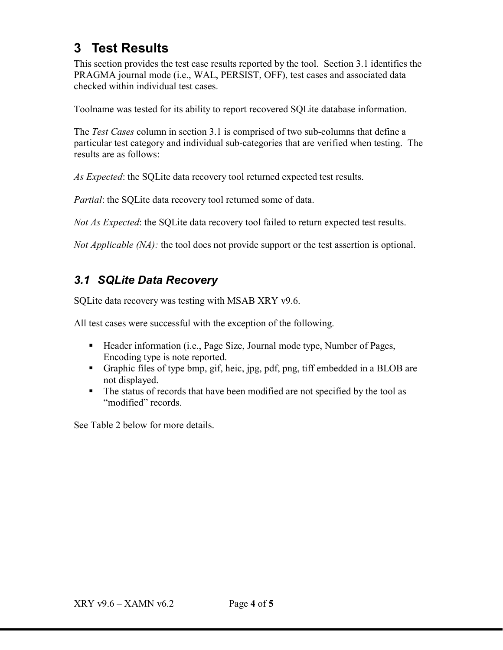### <span id="page-5-0"></span>**3 Test Results**

This section provides the test case results reported by the tool. Section 3.1 identifies the PRAGMA journal mode (i.e., WAL, PERSIST, OFF), test cases and associated data checked within individual test cases.

Toolname was tested for its ability to report recovered SQLite database information.

The *Test Cases* column in section 3.1 is comprised of two sub-columns that define a particular test category and individual sub-categories that are verified when testing. The results are as follows:

*As Expected*: the SQLite data recovery tool returned expected test results.

*Partial*: the SQLite data recovery tool returned some of data.

*Not As Expected*: the SQLite data recovery tool failed to return expected test results.

*Not Applicable (NA):* the tool does not provide support or the test assertion is optional.

### *3.1 SQLite Data Recovery*

SQLite data recovery was testing with MSAB XRY v9.6.

All test cases were successful with the exception of the following.

- Header information (i.e., Page Size, Journal mode type, Number of Pages, Encoding type is note reported.
- Graphic files of type bmp, gif, heic, jpg, pdf, png, tiff embedded in a BLOB are not displayed.
- The status of records that have been modified are not specified by the tool as "modified" records.

See Table 2 below for more details.